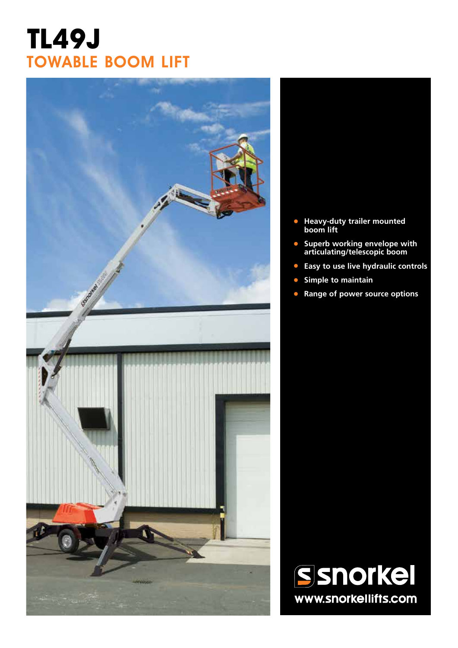# **TL49J** TOWABLE BOOM LIFT



- **• Heavy-duty trailer mounted boom lift**
- **• Superb working envelope with articulating/telescopic boom**
- **• Easy to use live hydraulic controls**
- **• Simple to maintain**
- **• Range of power source options**